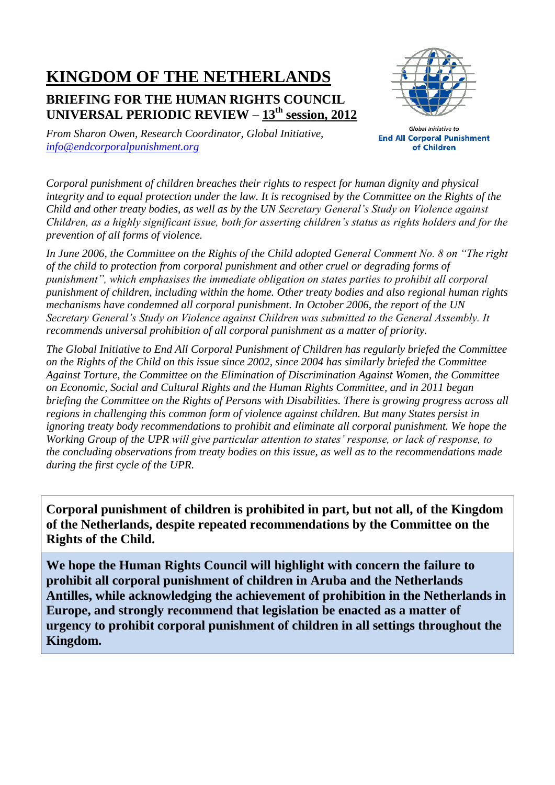# **KINGDOM OF THE NETHERLANDS**

## **BRIEFING FOR THE HUMAN RIGHTS COUNCIL UNIVERSAL PERIODIC REVIEW – 13th session, 2012**



*From Sharon Owen, Research Coordinator, Global Initiative, [info@endcorporalpunishment.org](mailto:info@endcorporalpunishment.org)*

**Global Initiative to End All Corporal Punishment** of Children

*Corporal punishment of children breaches their rights to respect for human dignity and physical integrity and to equal protection under the law. It is recognised by the Committee on the Rights of the Child and other treaty bodies, as well as by the UN Secretary General's Study on Violence against Children, as a highly significant issue, both for asserting children's status as rights holders and for the prevention of all forms of violence.*

*In June 2006, the Committee on the Rights of the Child adopted General Comment No. 8 on "The right of the child to protection from corporal punishment and other cruel or degrading forms of punishment", which emphasises the immediate obligation on states parties to prohibit all corporal punishment of children, including within the home. Other treaty bodies and also regional human rights mechanisms have condemned all corporal punishment. In October 2006, the report of the UN Secretary General's Study on Violence against Children was submitted to the General Assembly. It recommends universal prohibition of all corporal punishment as a matter of priority.*

*The Global Initiative to End All Corporal Punishment of Children has regularly briefed the Committee on the Rights of the Child on this issue since 2002, since 2004 has similarly briefed the Committee Against Torture, the Committee on the Elimination of Discrimination Against Women, the Committee on Economic, Social and Cultural Rights and the Human Rights Committee, and in 2011 began briefing the Committee on the Rights of Persons with Disabilities. There is growing progress across all regions in challenging this common form of violence against children. But many States persist in ignoring treaty body recommendations to prohibit and eliminate all corporal punishment. We hope the Working Group of the UPR will give particular attention to states' response, or lack of response, to the concluding observations from treaty bodies on this issue, as well as to the recommendations made during the first cycle of the UPR.*

**Corporal punishment of children is prohibited in part, but not all, of the Kingdom of the Netherlands, despite repeated recommendations by the Committee on the Rights of the Child.**

**We hope the Human Rights Council will highlight with concern the failure to prohibit all corporal punishment of children in Aruba and the Netherlands Antilles, while acknowledging the achievement of prohibition in the Netherlands in Europe, and strongly recommend that legislation be enacted as a matter of urgency to prohibit corporal punishment of children in all settings throughout the Kingdom.**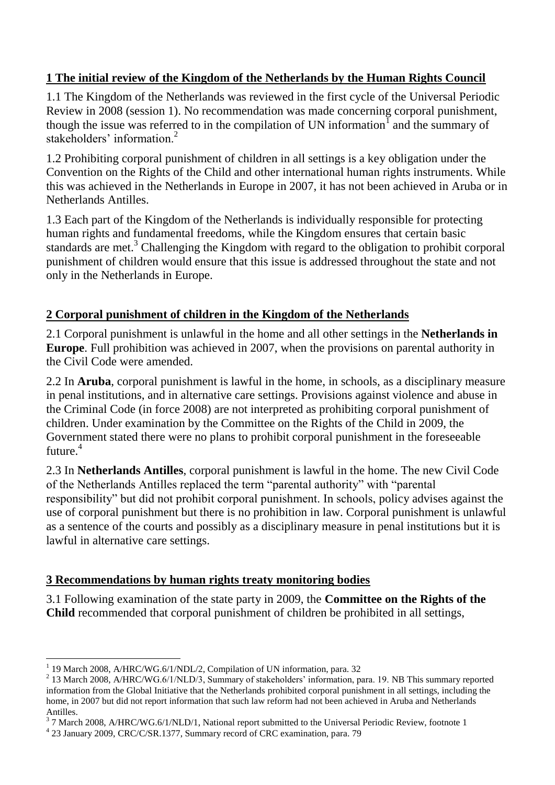#### **1 The initial review of the Kingdom of the Netherlands by the Human Rights Council**

1.1 The Kingdom of the Netherlands was reviewed in the first cycle of the Universal Periodic Review in 2008 (session 1). No recommendation was made concerning corporal punishment, though the issue was referred to in the compilation of UN information<sup>1</sup> and the summary of stakeholders' information.<sup>2</sup>

1.2 Prohibiting corporal punishment of children in all settings is a key obligation under the Convention on the Rights of the Child and other international human rights instruments. While this was achieved in the Netherlands in Europe in 2007, it has not been achieved in Aruba or in Netherlands Antilles.

1.3 Each part of the Kingdom of the Netherlands is individually responsible for protecting human rights and fundamental freedoms, while the Kingdom ensures that certain basic standards are met.<sup>3</sup> Challenging the Kingdom with regard to the obligation to prohibit corporal punishment of children would ensure that this issue is addressed throughout the state and not only in the Netherlands in Europe.

### **2 Corporal punishment of children in the Kingdom of the Netherlands**

2.1 Corporal punishment is unlawful in the home and all other settings in the **Netherlands in Europe**. Full prohibition was achieved in 2007, when the provisions on parental authority in the Civil Code were amended.

2.2 In **Aruba**, corporal punishment is lawful in the home, in schools, as a disciplinary measure in penal institutions, and in alternative care settings. Provisions against violence and abuse in the Criminal Code (in force 2008) are not interpreted as prohibiting corporal punishment of children. Under examination by the Committee on the Rights of the Child in 2009, the Government stated there were no plans to prohibit corporal punishment in the foreseeable future.<sup>4</sup>

2.3 In **Netherlands Antilles**, corporal punishment is lawful in the home. The new Civil Code of the Netherlands Antilles replaced the term "parental authority" with "parental responsibility" but did not prohibit corporal punishment. In schools, policy advises against the use of corporal punishment but there is no prohibition in law. Corporal punishment is unlawful as a sentence of the courts and possibly as a disciplinary measure in penal institutions but it is lawful in alternative care settings.

#### **3 Recommendations by human rights treaty monitoring bodies**

3.1 Following examination of the state party in 2009, the **Committee on the Rights of the Child** recommended that corporal punishment of children be prohibited in all settings,

 $\overline{a}$ 

<sup>1</sup> 19 March 2008, A/HRC/WG.6/1/NDL/2, Compilation of UN information, para. 32

<sup>&</sup>lt;sup>2</sup> 13 March 2008, A/HRC/WG.6/1/NLD/3, Summary of stakeholders' information, para. 19. NB This summary reported information from the Global Initiative that the Netherlands prohibited corporal punishment in all settings, including the home, in 2007 but did not report information that such law reform had not been achieved in Aruba and Netherlands Antilles.

 $3$  7 March 2008, A/HRC/WG.6/1/NLD/1, National report submitted to the Universal Periodic Review, footnote 1

<sup>4</sup> 23 January 2009, CRC/C/SR.1377, Summary record of CRC examination, para. 79